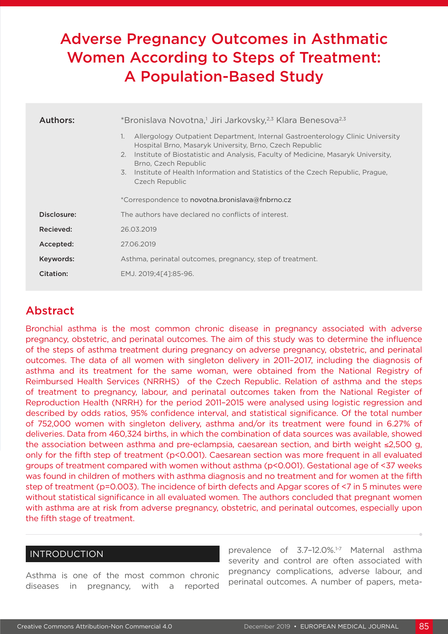# Adverse Pregnancy Outcomes in Asthmatic Women According to Steps of Treatment: A Population-Based Study

| Authors:    | *Bronislava Novotna, <sup>1</sup> Jiri Jarkovsky, <sup>2,3</sup> Klara Benesova <sup>2,3</sup>                                                                                                                                                                                                                                                                                                                                              |
|-------------|---------------------------------------------------------------------------------------------------------------------------------------------------------------------------------------------------------------------------------------------------------------------------------------------------------------------------------------------------------------------------------------------------------------------------------------------|
|             | Allergology Outpatient Department, Internal Gastroenterology Clinic University<br>1.<br>Hospital Brno, Masaryk University, Brno, Czech Republic<br>Institute of Biostatistic and Analysis, Faculty of Medicine, Masaryk University,<br>2.<br>Brno, Czech Republic<br>Institute of Health Information and Statistics of the Czech Republic, Prague,<br>$\overline{3}$ .<br>Czech Republic<br>*Correspondence to novotna.bronislava@fnbrno.cz |
| Disclosure: | The authors have declared no conflicts of interest.                                                                                                                                                                                                                                                                                                                                                                                         |
|             |                                                                                                                                                                                                                                                                                                                                                                                                                                             |
| Recieved:   | 26.03.2019                                                                                                                                                                                                                                                                                                                                                                                                                                  |
| Accepted:   | 27.06.2019                                                                                                                                                                                                                                                                                                                                                                                                                                  |
| Keywords:   | Asthma, perinatal outcomes, pregnancy, step of treatment.                                                                                                                                                                                                                                                                                                                                                                                   |
| Citation:   | EMJ. 2019;4[4]:85-96.                                                                                                                                                                                                                                                                                                                                                                                                                       |

# Abstract

Bronchial asthma is the most common chronic disease in pregnancy associated with adverse pregnancy, obstetric, and perinatal outcomes. The aim of this study was to determine the influence of the steps of asthma treatment during pregnancy on adverse pregnancy, obstetric, and perinatal outcomes. The data of all women with singleton delivery in 2011–2017, including the diagnosis of asthma and its treatment for the same woman, were obtained from the National Registry of Reimbursed Health Services (NRRHS) of the Czech Republic. Relation of asthma and the steps of treatment to pregnancy, labour, and perinatal outcomes taken from the National Register of Reproduction Health (NRRH) for the period 2011–2015 were analysed using logistic regression and described by odds ratios, 95% confidence interval, and statistical significance. Of the total number of 752,000 women with singleton delivery, asthma and/or its treatment were found in 6.27% of deliveries. Data from 460,324 births, in which the combination of data sources was available, showed the association between asthma and pre-eclampsia, caesarean section, and birth weight ≤2,500 g, only for the fifth step of treatment (p<0.001). Caesarean section was more frequent in all evaluated groups of treatment compared with women without asthma (p<0.001). Gestational age of <37 weeks was found in children of mothers with asthma diagnosis and no treatment and for women at the fifth step of treatment (p=0.003). The incidence of birth defects and Apgar scores of <7 in 5 minutes were without statistical significance in all evaluated women. The authors concluded that pregnant women with asthma are at risk from adverse pregnancy, obstetric, and perinatal outcomes, especially upon the fifth stage of treatment.

# INTRODUCTION

Asthma is one of the most common chronic diseases in pregnancy, with a reported

prevalence of 3.7-12.0%.<sup>1-7</sup> Maternal asthma severity and control are often associated with pregnancy complications, adverse labour, and perinatal outcomes. A number of papers, meta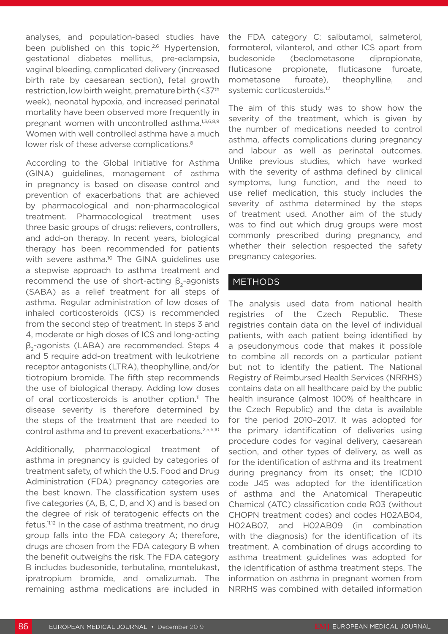analyses, and population-based studies have been published on this topic.<sup>2,6</sup> Hypertension, gestational diabetes mellitus, pre-eclampsia, vaginal bleeding, complicated delivery (increased birth rate by caesarean section), fetal growth restriction, low birth weight, premature birth (<37th week), neonatal hypoxia, and increased perinatal mortality have been observed more frequently in pregnant women with uncontrolled asthma.<sup>1,3,6,8,9</sup> Women with well controlled asthma have a much lower risk of these adverse complications.<sup>8</sup>

According to the Global Initiative for Asthma (GINA) guidelines, management of asthma in pregnancy is based on disease control and prevention of exacerbations that are achieved by pharmacological and non-pharmacological treatment. Pharmacological treatment uses three basic groups of drugs: relievers, controllers, and add-on therapy. In recent years, biological therapy has been recommended for patients with severe asthma.<sup>10</sup> The GINA guidelines use a stepwise approach to asthma treatment and recommend the use of short-acting  $\beta_2$ -agonists (SABA) as a relief treatment for all steps of asthma. Regular administration of low doses of inhaled corticosteroids (ICS) is recommended from the second step of treatment. In steps 3 and 4, moderate or high doses of ICS and long-acting β2-agonists (LABA) are recommended. Steps 4 and 5 require add-on treatment with leukotriene receptor antagonists (LTRA), theophylline, and/or tiotropium bromide. The fifth step recommends the use of biological therapy. Adding low doses of oral corticosteroids is another option.<sup>11</sup> The disease severity is therefore determined by the steps of the treatment that are needed to control asthma and to prevent exacerbations.2,5,6,10

Additionally, pharmacological treatment of asthma in pregnancy is guided by categories of treatment safety, of which the U.S. Food and Drug Administration (FDA) pregnancy categories are the best known. The classification system uses five categories (A, B, C, D, and X) and is based on the degree of risk of teratogenic effects on the fetus.11,12 In the case of asthma treatment, no drug group falls into the FDA category A; therefore, drugs are chosen from the FDA category B when the benefit outweighs the risk. The FDA category B includes budesonide, terbutaline, montelukast, ipratropium bromide, and omalizumab. The remaining asthma medications are included in

the FDA category C: salbutamol, salmeterol, formoterol, vilanterol, and other ICS apart from budesonide (beclometasone dipropionate, fluticasone propionate, fluticasone furoate, mometasone furoate), theophylline, and systemic corticosteroids.<sup>12</sup>

The aim of this study was to show how the severity of the treatment, which is given by the number of medications needed to control asthma, affects complications during pregnancy and labour as well as perinatal outcomes. Unlike previous studies, which have worked with the severity of asthma defined by clinical symptoms, lung function, and the need to use relief medication, this study includes the severity of asthma determined by the steps of treatment used. Another aim of the study was to find out which drug groups were most commonly prescribed during pregnancy, and whether their selection respected the safety pregnancy categories.

# METHODS

The analysis used data from national health registries of the Czech Republic. These registries contain data on the level of individual patients, with each patient being identified by a pseudonymous code that makes it possible to combine all records on a particular patient but not to identify the patient. The National Registry of Reimbursed Health Services (NRRHS) contains data on all healthcare paid by the public health insurance (almost 100% of healthcare in the Czech Republic) and the data is available for the period 2010–2017. It was adopted for the primary identification of deliveries using procedure codes for vaginal delivery, caesarean section, and other types of delivery, as well as for the identification of asthma and its treatment during pregnancy from its onset; the ICD10 code J45 was adopted for the identification of asthma and the Anatomical Therapeutic Chemical (ATC) classification code R03 (without CHOPN treatment codes) and codes H02AB04, H02AB07, and H02AB09 (in combination with the diagnosis) for the identification of its treatment. A combination of drugs according to asthma treatment guidelines was adopted for the identification of asthma treatment steps. The information on asthma in pregnant women from NRRHS was combined with detailed information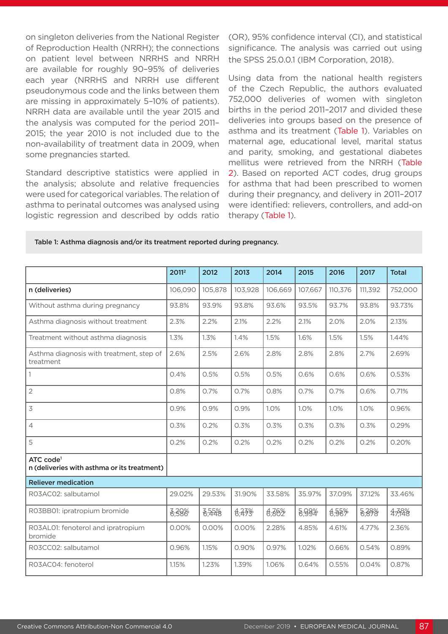on singleton deliveries from the National Register of Reproduction Health (NRRH); the connections on patient level between NRRHS and NRRH are available for roughly 90–95% of deliveries each year (NRRHS and NRRH use different pseudonymous code and the links between them are missing in approximately 5–10% of patients). NRRH data are available until the year 2015 and the analysis was computed for the period 2011– 2015; the year 2010 is not included due to the non-availability of treatment data in 2009, when some pregnancies started.

Standard descriptive statistics were applied in the analysis; absolute and relative frequencies were used for categorical variables. The relation of asthma to perinatal outcomes was analysed using logistic regression and described by odds ratio (OR), 95% confidence interval (CI), and statistical significance. The analysis was carried out using the SPSS 25.0.0.1 (IBM Corporation, 2018).

Using data from the national health registers of the Czech Republic, the authors evaluated 752,000 deliveries of women with singleton births in the period 2011–2017 and divided these deliveries into groups based on the presence of asthma and its treatment (Table 1). Variables on maternal age, educational level, marital status and parity, smoking, and gestational diabetes mellitus were retrieved from the NRRH (Table 2). Based on reported ACT codes, drug groups for asthma that had been prescribed to women during their pregnancy, and delivery in 2011–2017 were identified: relievers, controllers, and add-on therapy (Table 1).

#### Table 1: Asthma diagnosis and/or its treatment reported during pregnancy.

|                                                                      | 20112   | 2012    | 2013    | 2014    | 2015    | 2016    | 2017    | <b>Total</b> |
|----------------------------------------------------------------------|---------|---------|---------|---------|---------|---------|---------|--------------|
| n (deliveries)                                                       | 106,090 | 105,878 | 103,928 | 106,669 | 107,667 | 110,376 | 111,392 | 752,000      |
| Without asthma during pregnancy                                      | 93.8%   | 93.9%   | 93.8%   | 93.6%   | 93.5%   | 93.7%   | 93.8%   | 93.73%       |
| Asthma diagnosis without treatment                                   | 2.3%    | 2.2%    | 2.1%    | 2.2%    | 2.1%    | 2.0%    | 2.0%    | 2.13%        |
| Treatment without asthma diagnosis                                   | 1.3%    | 1.3%    | 1.4%    | 1.5%    | 1.6%    | 1.5%    | 1.5%    | 1.44%        |
| Asthma diagnosis with treatment, step of<br>treatment                | 2.6%    | 2.5%    | 2.6%    | 2.8%    | 2.8%    | 2.8%    | 2.7%    | 2.69%        |
|                                                                      | 0.4%    | 0.5%    | 0.5%    | 0.5%    | 0.6%    | 0.6%    | 0.6%    | 0.53%        |
| $\overline{2}$                                                       | 0.8%    | 0.7%    | 0.7%    | 0.8%    | 0.7%    | 0.7%    | 0.6%    | 0.71%        |
| 3                                                                    | 0.9%    | 0.9%    | 0.9%    | 1.0%    | 1.0%    | 1.0%    | 1.0%    | 0.96%        |
| $\overline{4}$                                                       | 0.3%    | 0.2%    | 0.3%    | 0.3%    | 0.3%    | 0.3%    | 0.3%    | 0.29%        |
| 5                                                                    | 0.2%    | 0.2%    | 0.2%    | 0.2%    | 0.2%    | 0.2%    | 0.2%    | 0.20%        |
| ATC code <sup>1</sup><br>n (deliveries with asthma or its treatment) |         |         |         |         |         |         |         |              |
| <b>Reliever medication</b>                                           |         |         |         |         |         |         |         |              |
| R03AC02: salbutamol                                                  | 29.02%  | 29.53%  | 31.90%  | 33.58%  | 35.97%  | 37.09%  | 37.12%  | 33.46%       |
| R03BB01: ipratropium bromide                                         | 6,398   | 8,55%   | 6,33%   | 6,86%   | 8,99%   | 8.55%   | 8,898   | $4 - 788$    |
| RO3ALO1: fenoterol and ipratropium<br>bromide                        | 0.00%   | 0.00%   | 0.00%   | 2.28%   | 4.85%   | 4.61%   | 4.77%   | 2.36%        |
| R03CC02: salbutamol                                                  | 0.96%   | 1.15%   | 0.90%   | 0.97%   | 1.02%   | 0.66%   | 0.54%   | 0.89%        |
| R03AC04: fenoterol                                                   | 1.15%   | 1.23%   | 1.39%   | 1.06%   | 0.64%   | 0.55%   | 0.04%   | 0.87%        |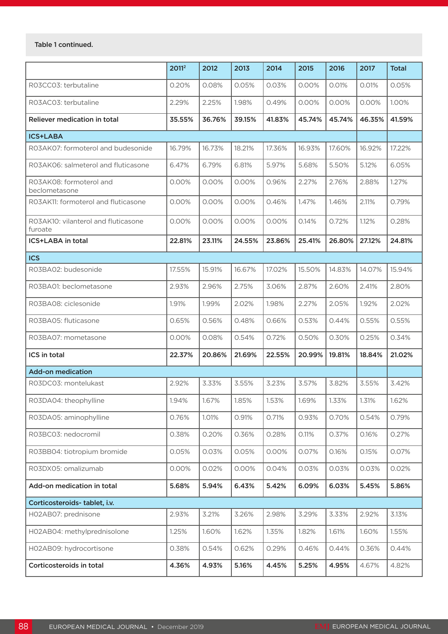### Table 1 continued.

|                                                | 20112  | 2012   | 2013   | 2014   | 2015   | 2016   | 2017   | <b>Total</b> |
|------------------------------------------------|--------|--------|--------|--------|--------|--------|--------|--------------|
| RO3CCO3: terbutaline                           | 0.20%  | 0.08%  | 0.05%  | 0.03%  | 0.00%  | 0.01%  | 0.01%  | 0.05%        |
| RO3ACO3: terbutaline                           | 2.29%  | 2.25%  | 1.98%  | 0.49%  | 0.00%  | 0.00%  | 0.00%  | 1.00%        |
| <b>Reliever medication in total</b>            | 35.55% | 36.76% | 39.15% | 41.83% | 45.74% | 45.74% | 46.35% | 41.59%       |
| <b>ICS+LABA</b>                                |        |        |        |        |        |        |        |              |
| RO3AK07: formoterol and budesonide             | 16.79% | 16.73% | 18.21% | 17.36% | 16.93% | 17.60% | 16.92% | 17.22%       |
| RO3AK06: salmeterol and fluticasone            | 6.47%  | 6.79%  | 6.81%  | 5.97%  | 5.68%  | 5.50%  | 5.12%  | 6.05%        |
| RO3AK08: formoterol and<br>beclometasone       | 0.00%  | 0.00%  | 0.00%  | 0.96%  | 2.27%  | 2.76%  | 2.88%  | 1.27%        |
| RO3AK11: formoterol and fluticasone            | 0.00%  | 0.00%  | 0.00%  | 0.46%  | 1.47%  | 1.46%  | 2.11%  | 0.79%        |
| RO3AK10: vilanterol and fluticasone<br>furoate | 0.00%  | 0.00%  | 0.00%  | 0.00%  | 0.14%  | 0.72%  | 1.12%  | 0.28%        |
| <b>ICS+LABA in total</b>                       | 22.81% | 23.11% | 24.55% | 23.86% | 25.41% | 26.80% | 27.12% | 24.81%       |
| <b>ICS</b>                                     |        |        |        |        |        |        |        |              |
| RO3BA02: budesonide                            | 17.55% | 15.91% | 16.67% | 17.02% | 15.50% | 14.83% | 14.07% | 15.94%       |
| RO3BA01: beclometasone                         | 2.93%  | 2.96%  | 2.75%  | 3.06%  | 2.87%  | 2.60%  | 2.41%  | 2.80%        |
| RO3BA08: ciclesonide                           | 1.91%  | 1.99%  | 2.02%  | 1.98%  | 2.27%  | 2.05%  | 1.92%  | 2.02%        |
| RO3BA05: fluticasone                           | 0.65%  | 0.56%  | 0.48%  | 0.66%  | 0.53%  | 0.44%  | 0.55%  | 0.55%        |
| RO3BA07: mometasone                            | 0.00%  | 0.08%  | 0.54%  | 0.72%  | 0.50%  | 0.30%  | 0.25%  | 0.34%        |
| ICS in total                                   | 22.37% | 20.86% | 21.69% | 22.55% | 20.99% | 19.81% | 18.84% | 21.02%       |
| <b>Add-on medication</b>                       |        |        |        |        |        |        |        |              |
| RO3DCO3: montelukast                           | 2.92%  | 3.33%  | 3.55%  | 3.23%  | 3.57%  | 3.82%  | 3.55%  | 3.42%        |
| RO3DA04: theophylline                          | 1.94%  | 1.67%  | 1.85%  | 1.53%  | 1.69%  | 1.33%  | 1.31%  | 1.62%        |
| R03DA05: aminophylline                         | 0.76%  | 1.01%  | 0.91%  | 0.71%  | 0.93%  | 0.70%  | 0.54%  | 0.79%        |
| R03BC03: nedocromil                            | 0.38%  | 0.20%  | 0.36%  | 0.28%  | 0.11%  | 0.37%  | 0.16%  | 0.27%        |
| R03BB04: tiotropium bromide                    | 0.05%  | 0.03%  | 0.05%  | 0.00%  | 0.07%  | 0.16%  | 0.15%  | 0.07%        |
| R03DX05: omalizumab                            | 0.00%  | 0.02%  | 0.00%  | 0.04%  | 0.03%  | 0.03%  | 0.03%  | 0.02%        |
| Add-on medication in total                     | 5.68%  | 5.94%  | 6.43%  | 5.42%  | 6.09%  | 6.03%  | 5.45%  | 5.86%        |
| Corticosteroids-tablet, i.v.                   |        |        |        |        |        |        |        |              |
| HO2ABO7: prednisone                            | 2.93%  | 3.21%  | 3.26%  | 2.98%  | 3.29%  | 3.33%  | 2.92%  | 3.13%        |
| HO2ABO4: methylprednisolone                    | 1.25%  | 1.60%  | 1.62%  | 1.35%  | 1.82%  | 1.61%  | 1.60%  | 1.55%        |
| HO2ABO9: hydrocortisone                        | 0.38%  | 0.54%  | 0.62%  | 0.29%  | 0.46%  | 0.44%  | 0.36%  | 0.44%        |
| Corticosteroids in total                       | 4.36%  | 4.93%  | 5.16%  | 4.45%  | 5.25%  | 4.95%  | 4.67%  | 4.82%        |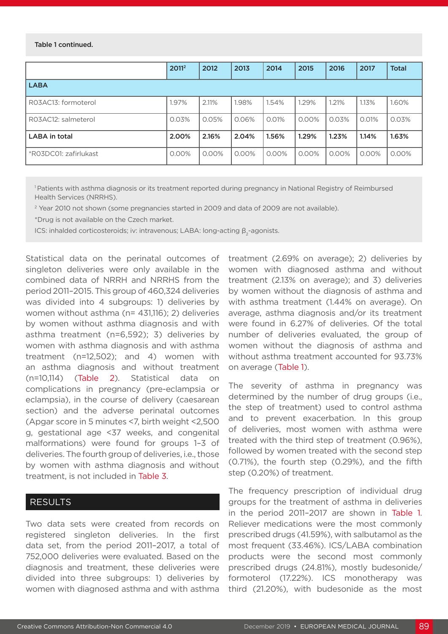#### Table 1 continued.

|                       | 20112    | 2012  | 2013  | 2014     | 2015  | 2016     | 2017  | <b>Total</b> |
|-----------------------|----------|-------|-------|----------|-------|----------|-------|--------------|
| <b>LABA</b>           |          |       |       |          |       |          |       |              |
| RO3AC13: formoterol   | 1.97%    | 2.11% | 1.98% | 1.54%    | 1.29% | 1.21%    | 1.13% | 1.60%        |
| RO3AC12: salmeterol   | 0.03%    | 0.05% | 0.06% | 0.01%    | 0.00% | 0.03%    | 0.01% | 0.03%        |
| LABA in total         | 2.00%    | 2.16% | 2.04% | 1.56%    | 1.29% | 1.23%    | 1.14% | 1.63%        |
| *R03DC01: zafirlukast | $0.00\%$ | 0.00% | 0.00% | $0.00\%$ | 0.00% | $0.00\%$ | 0.00% | $0.00\%$     |

1 Patients with asthma diagnosis or its treatment reported during pregnancy in National Registry of Reimbursed Health Services (NRRHS).

<sup>2</sup> Year 2010 not shown (some pregnancies started in 2009 and data of 2009 are not available).

\*Drug is not available on the Czech market.

ICS: inhalded corticosteroids; iv: intravenous; LABA: long-acting  $β_2$ -agonists.

Statistical data on the perinatal outcomes of singleton deliveries were only available in the combined data of NRRH and NRRHS from the period 2011–2015. This group of 460,324 deliveries was divided into 4 subgroups: 1) deliveries by women without asthma (n= 431,116); 2) deliveries by women without asthma diagnosis and with asthma treatment (n=6,592); 3) deliveries by women with asthma diagnosis and with asthma treatment (n=12,502); and 4) women with an asthma diagnosis and without treatment (n=10,114) (Table 2). Statistical data on complications in pregnancy (pre-eclampsia or eclampsia), in the course of delivery (caesarean section) and the adverse perinatal outcomes (Apgar score in 5 minutes <7, birth weight <2,500 g, gestational age <37 weeks, and congenital malformations) were found for groups 1–3 of deliveries. The fourth group of deliveries, i.e., those by women with asthma diagnosis and without treatment, is not included in Table 3.

## RESULTS

Two data sets were created from records on registered singleton deliveries. In the first data set, from the period 2011–2017, a total of 752,000 deliveries were evaluated. Based on the diagnosis and treatment, these deliveries were divided into three subgroups: 1) deliveries by women with diagnosed asthma and with asthma

treatment (2.69% on average); 2) deliveries by women with diagnosed asthma and without treatment (2.13% on average); and 3) deliveries by women without the diagnosis of asthma and with asthma treatment (1.44% on average). On average, asthma diagnosis and/or its treatment were found in 6.27% of deliveries. Of the total number of deliveries evaluated, the group of women without the diagnosis of asthma and without asthma treatment accounted for 93.73% on average (Table 1).

The severity of asthma in pregnancy was determined by the number of drug groups (i.e., the step of treatment) used to control asthma and to prevent exacerbation. In this group of deliveries, most women with asthma were treated with the third step of treatment (0.96%), followed by women treated with the second step (0.71%), the fourth step (0.29%), and the fifth step (0.20%) of treatment.

The frequency prescription of individual drug groups for the treatment of asthma in deliveries in the period 2011–2017 are shown in Table 1. Reliever medications were the most commonly prescribed drugs (41.59%), with salbutamol as the most frequent (33.46%). ICS/LABA combination products were the second most commonly prescribed drugs (24.81%), mostly budesonide/ formoterol (17.22%). ICS monotherapy was third (21.20%), with budesonide as the most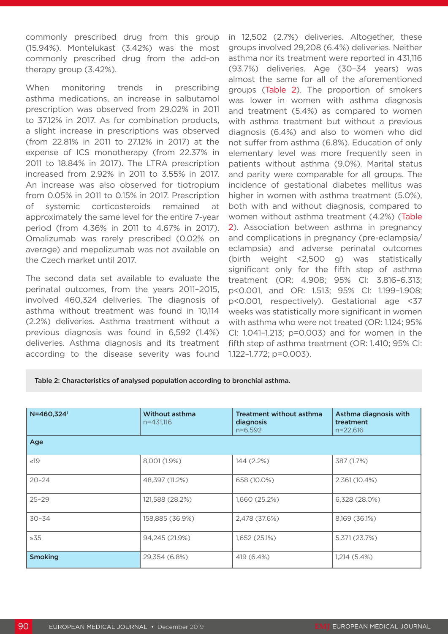commonly prescribed drug from this group (15.94%). Montelukast (3.42%) was the most commonly prescribed drug from the add-on therapy group (3.42%).

When monitoring trends in prescribing asthma medications, an increase in salbutamol prescription was observed from 29.02% in 2011 to 37.12% in 2017. As for combination products, a slight increase in prescriptions was observed (from 22.81% in 2011 to 27.12% in 2017) at the expense of ICS monotherapy (from 22.37% in 2011 to 18.84% in 2017). The LTRA prescription increased from 2.92% in 2011 to 3.55% in 2017. An increase was also observed for tiotropium from 0.05% in 2011 to 0.15% in 2017. Prescription of systemic corticosteroids remained at approximately the same level for the entire 7-year period (from 4.36% in 2011 to 4.67% in 2017). Omalizumab was rarely prescribed (0.02% on average) and mepolizumab was not available on the Czech market until 2017.

The second data set available to evaluate the perinatal outcomes, from the years 2011–2015, involved 460,324 deliveries. The diagnosis of asthma without treatment was found in 10,114 (2.2%) deliveries. Asthma treatment without a previous diagnosis was found in 6,592 (1.4%) deliveries. Asthma diagnosis and its treatment according to the disease severity was found

in 12,502 (2.7%) deliveries. Altogether, these groups involved 29,208 (6.4%) deliveries. Neither asthma nor its treatment were reported in 431,116 (93.7%) deliveries. Age (30–34 years) was almost the same for all of the aforementioned groups (Table 2). The proportion of smokers was lower in women with asthma diagnosis and treatment (5.4%) as compared to women with asthma treatment but without a previous diagnosis (6.4%) and also to women who did not suffer from asthma (6.8%). Education of only elementary level was more frequently seen in patients without asthma (9.0%). Marital status and parity were comparable for all groups. The incidence of gestational diabetes mellitus was higher in women with asthma treatment (5.0%). both with and without diagnosis, compared to women without asthma treatment (4.2%) (Table 2). Association between asthma in pregnancy and complications in pregnancy (pre-eclampsia/ eclampsia) and adverse perinatal outcomes (birth weight <2,500 g) was statistically significant only for the fifth step of asthma treatment (OR: 4.908; 95% CI: 3.816–6.313; p<0.001, and OR: 1.513; 95% CI: 1.199–1.908; p<0.001, respectively). Gestational age <37 weeks was statistically more significant in women with asthma who were not treated (OR: 1.124; 95% CI: 1.041–1.213; p=0.003) and for women in the fifth step of asthma treatment (OR: 1.410; 95% CI: 1.122–1.772; p=0.003).

Table 2: Characteristics of analysed population according to bronchial asthma.

| N=460,324 <sup>1</sup> | <b>Without asthma</b><br>n=431,116 | Treatment without asthma<br>diagnosis<br>$n=6,592$ | Asthma diagnosis with<br>treatment<br>$n=22,616$ |  |
|------------------------|------------------------------------|----------------------------------------------------|--------------------------------------------------|--|
| Age                    |                                    |                                                    |                                                  |  |
| $\leq 19$              | 8,001 (1.9%)                       | 144 (2.2%)                                         | 387 (1.7%)                                       |  |
| $20 - 24$              | 48,397 (11.2%)                     | 658 (10.0%)                                        | 2,361 (10.4%)                                    |  |
| $25 - 29$              | 121,588 (28.2%)                    | 1,660 (25.2%)                                      | 6,328 (28.0%)                                    |  |
| $30 - 34$              | 158,885 (36.9%)                    | 2,478 (37.6%)                                      | 8,169 (36.1%)                                    |  |
| $\geq 35$              | 94,245 (21.9%)                     | 1,652 (25.1%)                                      | 5,371 (23.7%)                                    |  |
| <b>Smoking</b>         | 29,354 (6.8%)                      | 419 (6.4%)                                         | 1,214 (5.4%)                                     |  |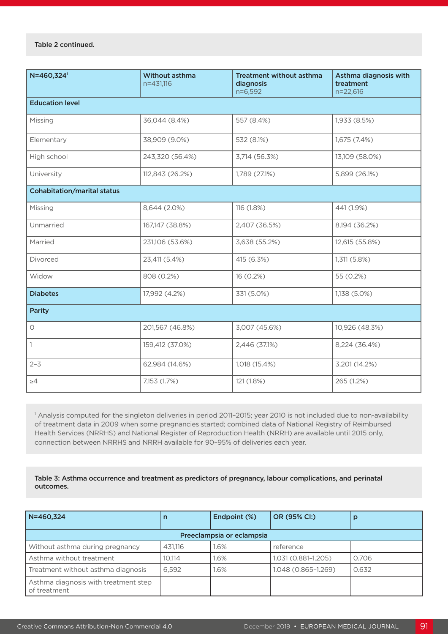Table 2 continued.

| N=460,324 <sup>1</sup>             | Without asthma<br>$n=431,116$ | <b>Treatment without asthma</b><br>diagnosis<br>$n=6,592$ | Asthma diagnosis with<br>treatment<br>n=22,616 |  |  |  |  |  |
|------------------------------------|-------------------------------|-----------------------------------------------------------|------------------------------------------------|--|--|--|--|--|
| <b>Education level</b>             |                               |                                                           |                                                |  |  |  |  |  |
| Missing                            | 36,044 (8.4%)                 | 557 (8.4%)                                                | 1,933 (8.5%)                                   |  |  |  |  |  |
| Elementary                         | 38,909 (9.0%)                 | 532 (8.1%)                                                | 1,675 (7.4%)                                   |  |  |  |  |  |
| High school                        | 243,320 (56.4%)               | 3,714 (56.3%)                                             | 13,109 (58.0%)                                 |  |  |  |  |  |
| University                         | 112,843 (26.2%)               | 1,789 (27.1%)                                             | 5,899 (26.1%)                                  |  |  |  |  |  |
| <b>Cohabitation/marital status</b> |                               |                                                           |                                                |  |  |  |  |  |
| Missing                            | 8,644 (2.0%)                  | 116 (1.8%)                                                | 441 (1.9%)                                     |  |  |  |  |  |
| Unmarried                          | 167,147 (38.8%)               | 2,407 (36.5%)                                             | 8,194 (36.2%)                                  |  |  |  |  |  |
| Married                            | 231,106 (53.6%)               | 3,638 (55.2%)                                             | 12,615 (55.8%)                                 |  |  |  |  |  |
| Divorced                           | 23,411 (5.4%)                 | 415 (6.3%)                                                | 1,311 (5.8%)                                   |  |  |  |  |  |
| Widow                              | 808 (0.2%)                    | 16 (0.2%)                                                 | 55 (0.2%)                                      |  |  |  |  |  |
| <b>Diabetes</b>                    | 17,992 (4.2%)                 | 331 (5.0%)                                                | 1,138 (5.0%)                                   |  |  |  |  |  |
| <b>Parity</b>                      |                               |                                                           |                                                |  |  |  |  |  |
| $\circlearrowright$                | 201,567 (46.8%)               | 3,007 (45.6%)                                             | 10,926 (48.3%)                                 |  |  |  |  |  |
| $\mathbf{1}$                       | 159,412 (37.0%)               | 2,446 (37.1%)                                             | 8,224 (36.4%)                                  |  |  |  |  |  |
| $2 - 3$                            | 62,984 (14.6%)                | 1,018 (15.4%)                                             | 3,201 (14.2%)                                  |  |  |  |  |  |
| $\geq 4$                           | 7,153 (1.7%)                  | 121 (1.8%)                                                | 265 (1.2%)                                     |  |  |  |  |  |

1 Analysis computed for the singleton deliveries in period 2011–2015; year 2010 is not included due to non-availability of treatment data in 2009 when some pregnancies started; combined data of National Registry of Reimbursed Health Services (NRRHS) and National Register of Reproduction Health (NRRH) are available until 2015 only, connection between NRRHS and NRRH available for 90–95% of deliveries each year.

Table 3: Asthma occurrence and treatment as predictors of pregnancy, labour complications, and perinatal outcomes.

| $N = 460.324$                                        | n       | Endpoint (%) | OR (95% CI:)        | р     |  |  |  |
|------------------------------------------------------|---------|--------------|---------------------|-------|--|--|--|
| Preeclampsia or eclampsia                            |         |              |                     |       |  |  |  |
| Without asthma during pregnancy                      | 431.116 | .6%          | reference           |       |  |  |  |
| Asthma without treatment                             | 10.114  | 1.6%         | 1.031 (0.881-1.205) | 0.706 |  |  |  |
| Treatment without asthma diagnosis                   | 6.592   | 1.6%         | 1.048 (0.865-1.269) | 0.632 |  |  |  |
| Asthma diagnosis with treatment step<br>of treatment |         |              |                     |       |  |  |  |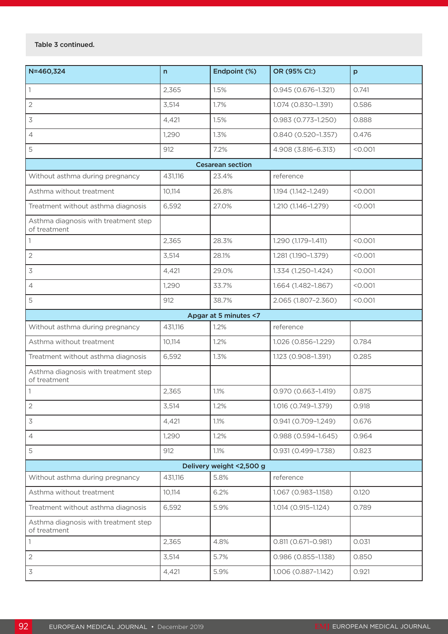### Table 3 continued.

| N=460,324                                            | $\mathsf{n}$ | Endpoint (%)            | OR (95% Cl:)           | p       |  |  |  |
|------------------------------------------------------|--------------|-------------------------|------------------------|---------|--|--|--|
| $\vert$ 1                                            | 2,365        | 1.5%                    | $0.945(0.676 - 1.321)$ | 0.741   |  |  |  |
| $\overline{2}$                                       | 3,514        | 1.7%                    | 1.074 (0.830-1.391)    | 0.586   |  |  |  |
| 3                                                    | 4,421        | 1.5%                    | $0.983(0.773 - 1.250)$ | 0.888   |  |  |  |
| $\overline{4}$                                       | 1,290        | 1.3%                    | 0.840 (0.520-1.357)    | 0.476   |  |  |  |
| 5                                                    | 912          | 7.2%                    | 4.908 (3.816-6.313)    | < 0.001 |  |  |  |
|                                                      |              | <b>Cesarean section</b> |                        |         |  |  |  |
| Without asthma during pregnancy                      | 431,116      | 23.4%                   | reference              |         |  |  |  |
| Asthma without treatment                             | 10,114       | 26.8%                   | 1.194 (1.142-1.249)    | < 0.001 |  |  |  |
| Treatment without asthma diagnosis                   | 6,592        | 27.0%                   | 1.210 (1.146-1.279)    | < 0.001 |  |  |  |
| Asthma diagnosis with treatment step<br>of treatment |              |                         |                        |         |  |  |  |
|                                                      | 2,365        | 28.3%                   | 1.290 (1.179-1.411)    | < 0.001 |  |  |  |
| $\overline{2}$                                       | 3,514        | 28.1%                   | 1.281 (1.190-1.379)    | < 0.001 |  |  |  |
| 3                                                    | 4,421        | 29.0%                   | 1.334 (1.250-1.424)    | < 0.001 |  |  |  |
| 4                                                    | 1,290        | 33.7%                   | 1.664 (1.482-1.867)    | < 0.001 |  |  |  |
| 5                                                    | 912          | 38.7%                   | 2.065 (1.807-2.360)    | < 0.001 |  |  |  |
|                                                      |              | Apgar at 5 minutes <7   |                        |         |  |  |  |
| Without asthma during pregnancy                      | 431,116      | 1.2%                    | reference              |         |  |  |  |
| Asthma without treatment                             | 10,114       | 1.2%                    | 1.026 (0.856-1.229)    | 0.784   |  |  |  |
| Treatment without asthma diagnosis                   | 6,592        | 1.3%                    | 1.123 (0.908-1.391)    | 0.285   |  |  |  |
| Asthma diagnosis with treatment step<br>of treatment |              |                         |                        |         |  |  |  |
| 1                                                    | 2,365        | 1.1%                    | 0.970 (0.663-1.419)    | 0.875   |  |  |  |
| $\overline{2}$                                       | 3,514        | 1.2%                    | 1.016 (0.749-1.379)    | 0.918   |  |  |  |
| $\mathfrak{Z}$                                       | 4,421        | 1.1%                    | $0.941(0.709 - 1.249)$ | 0.676   |  |  |  |
| $\overline{4}$                                       | 1,290        | 1.2%                    | $0.988(0.594 - 1.645)$ | 0.964   |  |  |  |
| 5                                                    | 912          | 1.1%                    | $0.931(0.499 - 1.738)$ | 0.823   |  |  |  |
| Delivery weight <2,500 g                             |              |                         |                        |         |  |  |  |
| Without asthma during pregnancy                      | 431,116      | 5.8%                    | reference              |         |  |  |  |
| Asthma without treatment                             | 10,114       | 6.2%                    | 1.067 (0.983-1.158)    | 0.120   |  |  |  |
| Treatment without asthma diagnosis                   | 6,592        | 5.9%                    | 1.014 (0.915-1.124)    | 0.789   |  |  |  |
| Asthma diagnosis with treatment step<br>of treatment |              |                         |                        |         |  |  |  |
| $\vert$ 1                                            | 2,365        | 4.8%                    | 0.811 (0.671-0.981)    | 0.031   |  |  |  |
| $\sqrt{2}$                                           | 3,514        | 5.7%                    | $0.986(0.855 - 1.138)$ | 0.850   |  |  |  |
| $\mathfrak{Z}$                                       | 4,421        | 5.9%                    | 1.006 (0.887-1.142)    | 0.921   |  |  |  |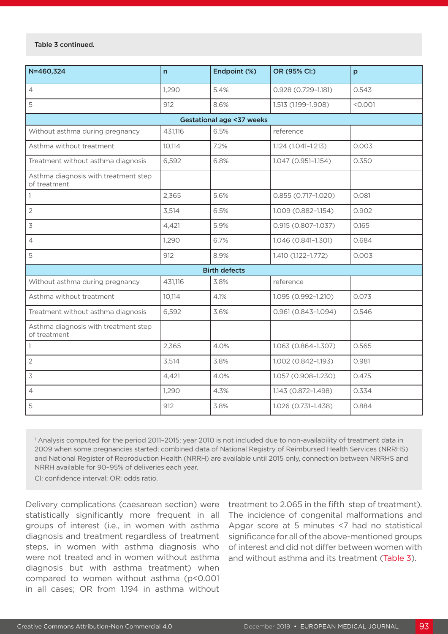#### Table 3 continued.

| N=460,324                                            | $\mathsf{n}$ | Endpoint (%)         | OR (95% Cl:)           | p       |  |  |  |  |  |
|------------------------------------------------------|--------------|----------------------|------------------------|---------|--|--|--|--|--|
| $\sqrt{4}$                                           | 1,290        | 5.4%                 | 0.928 (0.729-1.181)    | 0.543   |  |  |  |  |  |
| 5                                                    | 912          | 8.6%                 | 1.513 (1.199-1.908)    | < 0.001 |  |  |  |  |  |
| Gestational age <37 weeks                            |              |                      |                        |         |  |  |  |  |  |
| Without asthma during pregnancy                      | 431,116      | 6.5%                 | reference              |         |  |  |  |  |  |
| Asthma without treatment                             | 10,114       | 7.2%                 | 1.124 (1.041-1.213)    | 0.003   |  |  |  |  |  |
| Treatment without asthma diagnosis                   | 6,592        | 6.8%                 | 1.047 (0.951-1.154)    | 0.350   |  |  |  |  |  |
| Asthma diagnosis with treatment step<br>of treatment |              |                      |                        |         |  |  |  |  |  |
| $\mathbb{1}$                                         | 2,365        | 5.6%                 | 0.855 (0.717-1.020)    | 0.081   |  |  |  |  |  |
| $\overline{2}$                                       | 3,514        | 6.5%                 | 1.009 (0.882-1.154)    | 0.902   |  |  |  |  |  |
| $\overline{\mathcal{S}}$                             | 4,421        | 5.9%                 | $0.915(0.807 - 1.037)$ | 0.165   |  |  |  |  |  |
| $\overline{4}$                                       | 1,290        | 6.7%                 | 1.046 (0.841-1.301)    | 0.684   |  |  |  |  |  |
| 5                                                    | 912          | 8.9%                 | 1.410 (1.122-1.772)    | 0.003   |  |  |  |  |  |
|                                                      |              | <b>Birth defects</b> |                        |         |  |  |  |  |  |
| Without asthma during pregnancy                      | 431,116      | 3.8%                 | reference              |         |  |  |  |  |  |
| Asthma without treatment                             | 10,114       | 4.1%                 | 1.095 (0.992-1.210)    | 0.073   |  |  |  |  |  |
| Treatment without asthma diagnosis                   | 6,592        | 3.6%                 | 0.961 (0.843-1.094)    | 0.546   |  |  |  |  |  |
| Asthma diagnosis with treatment step<br>of treatment |              |                      |                        |         |  |  |  |  |  |
| $\vert$ 1                                            | 2,365        | 4.0%                 | 1.063 (0.864-1.307)    | 0.565   |  |  |  |  |  |
| $\sqrt{2}$                                           | 3,514        | 3.8%                 | 1.002 (0.842-1.193)    | 0.981   |  |  |  |  |  |
| $\overline{\mathcal{S}}$                             | 4,421        | 4.0%                 | 1.057 (0.908-1.230)    | 0.475   |  |  |  |  |  |
| $\overline{4}$                                       | 1,290        | 4.3%                 | 1.143 (0.872-1.498)    | 0.334   |  |  |  |  |  |
| 5                                                    | 912          | 3.8%                 | 1.026 (0.731-1.438)    | 0.884   |  |  |  |  |  |

1 Analysis computed for the period 2011–2015; year 2010 is not included due to non-availability of treatment data in 2009 when some pregnancies started; combined data of National Registry of Reimbursed Health Services (NRRHS) and National Register of Reproduction Health (NRRH) are available until 2015 only, connection between NRRHS and NRRH available for 90–95% of deliveries each year.

CI: confidence interval; OR: odds ratio.

Delivery complications (caesarean section) were statistically significantly more frequent in all groups of interest (i.e., in women with asthma diagnosis and treatment regardless of treatment steps, in women with asthma diagnosis who were not treated and in women without asthma diagnosis but with asthma treatment) when compared to women without asthma (p<0.001 in all cases; OR from 1.194 in asthma without

treatment to 2.065 in the fifth step of treatment). The incidence of congenital malformations and Apgar score at 5 minutes <7 had no statistical significance for all of the above-mentioned groups of interest and did not differ between women with and without asthma and its treatment (Table 3).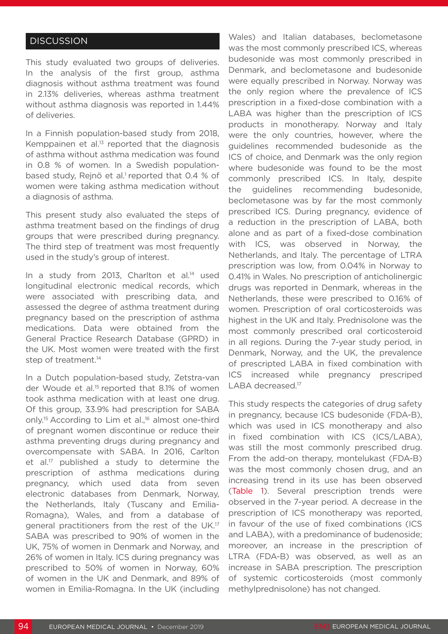# **DISCUSSION**

This study evaluated two groups of deliveries. In the analysis of the first group, asthma diagnosis without asthma treatment was found in 2.13% deliveries, whereas asthma treatment without asthma diagnosis was reported in 1.44% of deliveries.

In a Finnish population-based study from 2018, Kemppainen et al.<sup>13</sup> reported that the diagnosis of asthma without asthma medication was found in 0.8 % of women. In a Swedish populationbased study, Rejnö et al.<sup>1</sup> reported that 0.4 % of women were taking asthma medication without a diagnosis of asthma.

This present study also evaluated the steps of asthma treatment based on the findings of drug groups that were prescribed during pregnancy. The third step of treatment was most frequently used in the study's group of interest.

In a study from 2013, Charlton et al.<sup>14</sup> used longitudinal electronic medical records, which were associated with prescribing data, and assessed the degree of asthma treatment during pregnancy based on the prescription of asthma medications. Data were obtained from the General Practice Research Database (GPRD) in the UK. Most women were treated with the first step of treatment.<sup>14</sup>

In a Dutch population-based study, Zetstra-van der Woude et al.<sup>15</sup> reported that 8.1% of women took asthma medication with at least one drug. Of this group, 33.9% had prescription for SABA only.<sup>15</sup> According to Lim et al..<sup>16</sup> almost one-third of pregnant women discontinue or reduce their asthma preventing drugs during pregnancy and overcompensate with SABA. In 2016, Carlton et al.17 published a study to determine the prescription of asthma medications during pregnancy, which used data from seven electronic databases from Denmark, Norway, the Netherlands, Italy (Tuscany and Emilia-Romagna), Wales, and from a database of general practitioners from the rest of the UK.17 SABA was prescribed to 90% of women in the UK, 75% of women in Denmark and Norway, and 26% of women in Italy. ICS during pregnancy was prescribed to 50% of women in Norway, 60% of women in the UK and Denmark, and 89% of women in Emilia-Romagna. In the UK (including

Wales) and Italian databases, beclometasone was the most commonly prescribed ICS, whereas budesonide was most commonly prescribed in Denmark, and beclometasone and budesonide were equally prescribed in Norway. Norway was the only region where the prevalence of ICS prescription in a fixed-dose combination with a LABA was higher than the prescription of ICS products in monotherapy. Norway and Italy were the only countries, however, where the guidelines recommended budesonide as the ICS of choice, and Denmark was the only region where budesonide was found to be the most commonly prescribed ICS. In Italy, despite the guidelines recommending budesonide, beclometasone was by far the most commonly prescribed ICS. During pregnancy, evidence of a reduction in the prescription of LABA, both alone and as part of a fixed-dose combination with ICS, was observed in Norway, the Netherlands, and Italy. The percentage of LTRA prescription was low, from 0.04% in Norway to 0.41% in Wales. No prescription of anticholinergic drugs was reported in Denmark, whereas in the Netherlands, these were prescribed to 0.16% of women. Prescription of oral corticosteroids was highest in the UK and Italy. Prednisolone was the most commonly prescribed oral corticosteroid in all regions. During the 7-year study period, in Denmark, Norway, and the UK, the prevalence of prescripted LABA in fixed combination with ICS increased while pregnancy prescriped LABA decreased.<sup>17</sup>

This study respects the categories of drug safety in pregnancy, because ICS budesonide (FDA-B), which was used in ICS monotherapy and also in fixed combination with ICS (ICS/LABA), was still the most commonly prescribed drug. From the add-on therapy, montelukast (FDA-B) was the most commonly chosen drug, and an increasing trend in its use has been observed (Table 1). Several prescription trends were observed in the 7-year period. A decrease in the prescription of ICS monotherapy was reported, in favour of the use of fixed combinations (ICS and LABA), with a predominance of budenoside; moreover, an increase in the prescription of LTRA (FDA-B) was observed, as well as an increase in SABA prescription. The prescription of systemic corticosteroids (most commonly methylprednisolone) has not changed.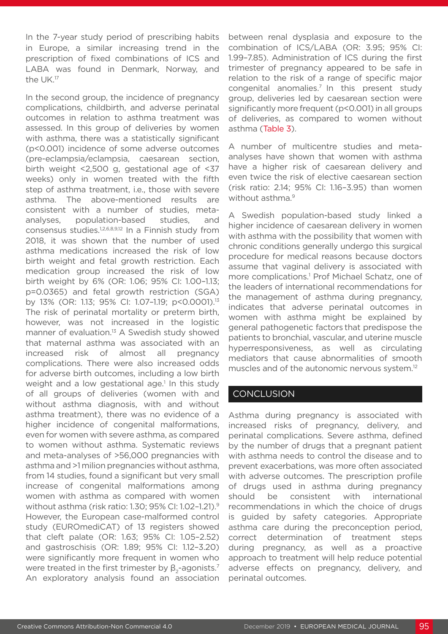In the 7-year study period of prescribing habits in Europe, a similar increasing trend in the prescription of fixed combinations of ICS and LABA was found in Denmark, Norway, and the UK.17

In the second group, the incidence of pregnancy complications, childbirth, and adverse perinatal outcomes in relation to asthma treatment was assessed. In this group of deliveries by women with asthma, there was a statistically significant (p<0.001) incidence of some adverse outcomes (pre-eclampsia/eclampsia, caesarean section, birth weight <2,500 g, gestational age of <37 weeks) only in women treated with the fifth step of asthma treatment, i.e., those with severe asthma. The above-mentioned results are consistent with a number of studies, metaanalyses, population-based studies, and consensus studies.1,2,6,8,9,12 In a Finnish study from 2018, it was shown that the number of used asthma medications increased the risk of low birth weight and fetal growth restriction. Each medication group increased the risk of low birth weight by 6% (OR: 1.06; 95% CI: 1.00–1.13; p=0.0365) and fetal growth restriction (SGA) by 13% (OR: 1.13; 95% CI: 1.07–1.19; p<0.0001).13 The risk of perinatal mortality or preterm birth, however, was not increased in the logistic manner of evaluation.<sup>13</sup> A Swedish study showed that maternal asthma was associated with an increased risk of almost all pregnancy complications. There were also increased odds for adverse birth outcomes, including a low birth weight and a low gestational age.<sup>1</sup> In this study of all groups of deliveries (women with and without asthma diagnosis, with and without asthma treatment), there was no evidence of a higher incidence of congenital malformations, even for women with severe asthma, as compared to women without asthma. Systematic reviews and meta-analyses of >56,000 pregnancies with asthma and >1 milion pregnancies without asthma, from 14 studies, found a significant but very small increase of congenital malformations among women with asthma as compared with women without asthma (risk ratio: 1.30; 95% CI: 1.02–1.21).9 However, the European case-malformed control study (EUROmediCAT) of 13 registers showed that cleft palate (OR: 1.63; 95% CI: 1.05–2.52) and gastroschisis (OR: 1.89; 95% CI: 1.12–3.20) were significantly more frequent in women who were treated in the first trimester by  $\beta_{2}$ -agonists.<sup>7</sup> An exploratory analysis found an association

between renal dysplasia and exposure to the combination of ICS/LABA (OR: 3.95; 95% CI: 1.99–7.85). Administration of ICS during the first trimester of pregnancy appeared to be safe in relation to the risk of a range of specific major congenital anomalies.7 In this present study group, deliveries led by caesarean section were significantly more frequent (p<0.001) in all groups of deliveries, as compared to women without asthma (Table 3).

A number of multicentre studies and metaanalyses have shown that women with asthma have a higher risk of caesarean delivery and even twice the risk of elective caesarean section (risk ratio: 2.14; 95% CI: 1.16–3.95) than women without asthma.<sup>9</sup>

A Swedish population-based study linked a higher incidence of caesarean delivery in women with asthma with the possibility that women with chronic conditions generally undergo this surgical procedure for medical reasons because doctors assume that vaginal delivery is associated with more complications.<sup>1</sup> Prof Michael Schatz, one of the leaders of international recommendations for the management of asthma during pregnancy, indicates that adverse perinatal outcomes in women with asthma might be explained by general pathogenetic factors that predispose the patients to bronchial, vascular, and uterine muscle hyperresponsiveness, as well as circulating mediators that cause abnormalities of smooth muscles and of the autonomic nervous system.12

# **CONCLUSION**

Asthma during pregnancy is associated with increased risks of pregnancy, delivery, and perinatal complications. Severe asthma, defined by the number of drugs that a pregnant patient with asthma needs to control the disease and to prevent exacerbations, was more often associated with adverse outcomes. The prescription profile of drugs used in asthma during pregnancy should be consistent with international recommendations in which the choice of drugs is guided by safety categories. Appropriate asthma care during the preconception period, correct determination of treatment steps during pregnancy, as well as a proactive approach to treatment will help reduce potential adverse effects on pregnancy, delivery, and perinatal outcomes.